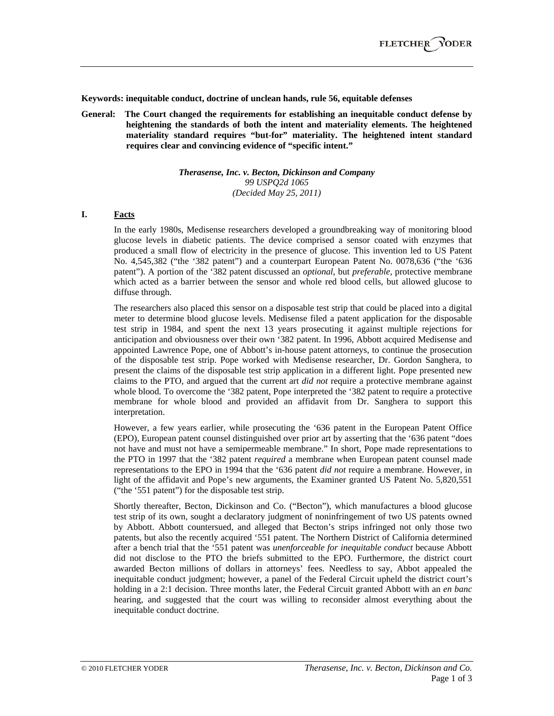**Keywords: inequitable conduct, doctrine of unclean hands, rule 56, equitable defenses** 

**General: The Court changed the requirements for establishing an inequitable conduct defense by heightening the standards of both the intent and materiality elements. The heightened materiality standard requires "but-for" materiality. The heightened intent standard requires clear and convincing evidence of "specific intent."**

> *Therasense, Inc. v. Becton, Dickinson and Company 99 USPQ2d 1065 (Decided May 25, 2011)*

# **I. Facts**

In the early 1980s, Medisense researchers developed a groundbreaking way of monitoring blood glucose levels in diabetic patients. The device comprised a sensor coated with enzymes that produced a small flow of electricity in the presence of glucose. This invention led to US Patent No. 4,545,382 ("the '382 patent") and a counterpart European Patent No. 0078,636 ("the '636 patent"). A portion of the '382 patent discussed an *optional*, but *preferable*, protective membrane which acted as a barrier between the sensor and whole red blood cells, but allowed glucose to diffuse through.

The researchers also placed this sensor on a disposable test strip that could be placed into a digital meter to determine blood glucose levels. Medisense filed a patent application for the disposable test strip in 1984, and spent the next 13 years prosecuting it against multiple rejections for anticipation and obviousness over their own '382 patent. In 1996, Abbott acquired Medisense and appointed Lawrence Pope, one of Abbott's in-house patent attorneys, to continue the prosecution of the disposable test strip. Pope worked with Medisense researcher, Dr. Gordon Sanghera, to present the claims of the disposable test strip application in a different light. Pope presented new claims to the PTO, and argued that the current art *did not* require a protective membrane against whole blood. To overcome the '382 patent, Pope interpreted the '382 patent to require a protective membrane for whole blood and provided an affidavit from Dr. Sanghera to support this interpretation.

However, a few years earlier, while prosecuting the '636 patent in the European Patent Office (EPO), European patent counsel distinguished over prior art by asserting that the '636 patent "does not have and must not have a semipermeable membrane." In short, Pope made representations to the PTO in 1997 that the '382 patent *required* a membrane when European patent counsel made representations to the EPO in 1994 that the '636 patent *did not* require a membrane. However, in light of the affidavit and Pope's new arguments, the Examiner granted US Patent No. 5,820,551 ("the '551 patent") for the disposable test strip.

Shortly thereafter, Becton, Dickinson and Co. ("Becton"), which manufactures a blood glucose test strip of its own, sought a declaratory judgment of noninfringement of two US patents owned by Abbott. Abbott countersued, and alleged that Becton's strips infringed not only those two patents, but also the recently acquired '551 patent. The Northern District of California determined after a bench trial that the '551 patent was *unenforceable for inequitable conduct* because Abbott did not disclose to the PTO the briefs submitted to the EPO. Furthermore, the district court awarded Becton millions of dollars in attorneys' fees. Needless to say, Abbot appealed the inequitable conduct judgment; however, a panel of the Federal Circuit upheld the district court's holding in a 2:1 decision. Three months later, the Federal Circuit granted Abbott with an *en banc* hearing, and suggested that the court was willing to reconsider almost everything about the inequitable conduct doctrine.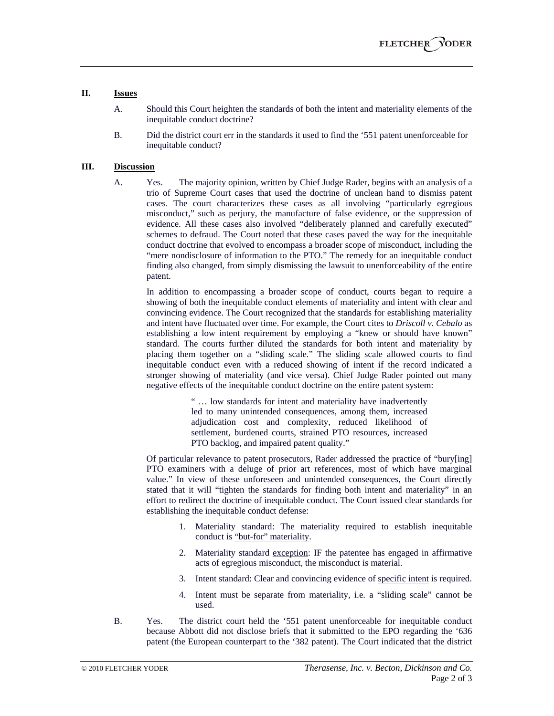### **II. Issues**

- A. Should this Court heighten the standards of both the intent and materiality elements of the inequitable conduct doctrine?
- B. Did the district court err in the standards it used to find the '551 patent unenforceable for inequitable conduct?

## **III. Discussion**

A. Yes. The majority opinion, written by Chief Judge Rader, begins with an analysis of a trio of Supreme Court cases that used the doctrine of unclean hand to dismiss patent cases. The court characterizes these cases as all involving "particularly egregious misconduct," such as perjury, the manufacture of false evidence, or the suppression of evidence. All these cases also involved "deliberately planned and carefully executed" schemes to defraud. The Court noted that these cases paved the way for the inequitable conduct doctrine that evolved to encompass a broader scope of misconduct, including the "mere nondisclosure of information to the PTO." The remedy for an inequitable conduct finding also changed, from simply dismissing the lawsuit to unenforceability of the entire patent.

In addition to encompassing a broader scope of conduct, courts began to require a showing of both the inequitable conduct elements of materiality and intent with clear and convincing evidence. The Court recognized that the standards for establishing materiality and intent have fluctuated over time. For example, the Court cites to *Driscoll v. Cebalo* as establishing a low intent requirement by employing a "knew or should have known" standard. The courts further diluted the standards for both intent and materiality by placing them together on a "sliding scale." The sliding scale allowed courts to find inequitable conduct even with a reduced showing of intent if the record indicated a stronger showing of materiality (and vice versa). Chief Judge Rader pointed out many negative effects of the inequitable conduct doctrine on the entire patent system:

> " … low standards for intent and materiality have inadvertently led to many unintended consequences, among them, increased adjudication cost and complexity, reduced likelihood of settlement, burdened courts, strained PTO resources, increased PTO backlog, and impaired patent quality."

Of particular relevance to patent prosecutors, Rader addressed the practice of "bury[ing] PTO examiners with a deluge of prior art references, most of which have marginal value." In view of these unforeseen and unintended consequences, the Court directly stated that it will "tighten the standards for finding both intent and materiality" in an effort to redirect the doctrine of inequitable conduct. The Court issued clear standards for establishing the inequitable conduct defense:

- 1. Materiality standard: The materiality required to establish inequitable conduct is "but-for" materiality.
- 2. Materiality standard exception: IF the patentee has engaged in affirmative acts of egregious misconduct, the misconduct is material.
- 3. Intent standard: Clear and convincing evidence of specific intent is required.
- 4. Intent must be separate from materiality, i.e. a "sliding scale" cannot be used.
- B. Yes. The district court held the '551 patent unenforceable for inequitable conduct because Abbott did not disclose briefs that it submitted to the EPO regarding the '636 patent (the European counterpart to the '382 patent). The Court indicated that the district